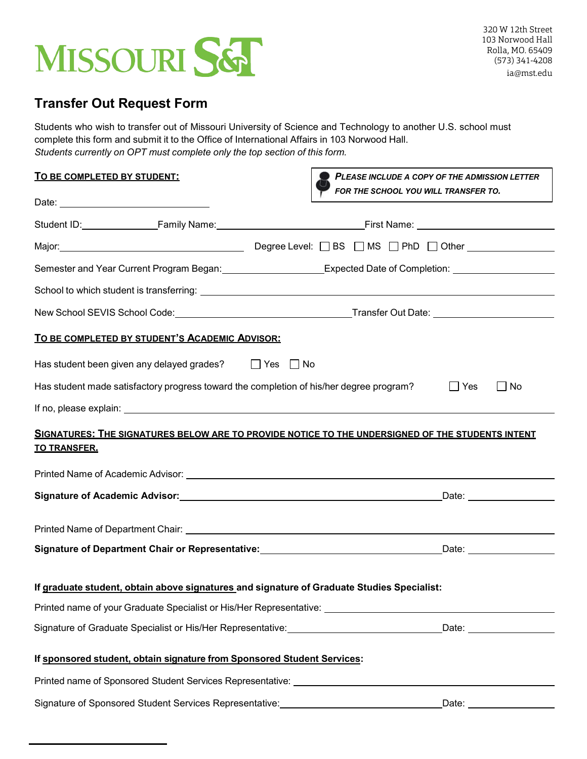

## **Transfer Out Request Form**

Students who wish to transfer out of Missouri University of Science and Technology to another U.S. school must complete this form and submit it to the Office of International Affairs in 103 Norwood Hall. *Students currently on OPT must complete only the top section of this form.*

| <u>TO BE COMPLETED BY STUDENT:</u>                                                         | PLEASE INCLUDE A COPY OF THE ADMISSION LETTER<br>FOR THE SCHOOL YOU WILL TRANSFER TO.                          |  |  |  |  |
|--------------------------------------------------------------------------------------------|----------------------------------------------------------------------------------------------------------------|--|--|--|--|
|                                                                                            |                                                                                                                |  |  |  |  |
|                                                                                            | Student ID: Family Name: Family Name: First Name: First Name:                                                  |  |  |  |  |
|                                                                                            |                                                                                                                |  |  |  |  |
|                                                                                            | Semester and Year Current Program Began:____________________Expected Date of Completion: _________________     |  |  |  |  |
|                                                                                            |                                                                                                                |  |  |  |  |
|                                                                                            |                                                                                                                |  |  |  |  |
| TO BE COMPLETED BY STUDENT'S ACADEMIC ADVISOR:                                             |                                                                                                                |  |  |  |  |
| Has student been given any delayed grades?<br>T Yes $\Box$ No                              |                                                                                                                |  |  |  |  |
| Has student made satisfactory progress toward the completion of his/her degree program?    | ∣ ∣Yes<br>  No                                                                                                 |  |  |  |  |
|                                                                                            |                                                                                                                |  |  |  |  |
| <b>TO TRANSFER.</b>                                                                        | SIGNATURES: THE SIGNATURES BELOW ARE TO PROVIDE NOTICE TO THE UNDERSIGNED OF THE STUDENTS INTENT               |  |  |  |  |
|                                                                                            |                                                                                                                |  |  |  |  |
|                                                                                            |                                                                                                                |  |  |  |  |
|                                                                                            |                                                                                                                |  |  |  |  |
|                                                                                            | Signature of Department Chair or Representative:__________________________________Date: ____________           |  |  |  |  |
| If graduate student, obtain above signatures and signature of Graduate Studies Specialist: |                                                                                                                |  |  |  |  |
|                                                                                            | Printed name of your Graduate Specialist or His/Her Representative: ________________________________           |  |  |  |  |
|                                                                                            | Signature of Graduate Specialist or His/Her Representative: _________________________________Date: ___________ |  |  |  |  |
| If sponsored student, obtain signature from Sponsored Student Services:                    |                                                                                                                |  |  |  |  |
|                                                                                            |                                                                                                                |  |  |  |  |
| Signature of Sponsored Student Services Representative: ________________________           | Date: ____________________                                                                                     |  |  |  |  |